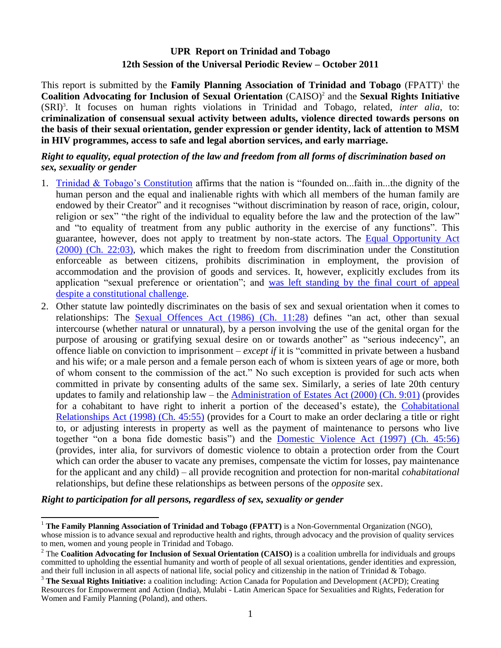# **UPR Report on Trinidad and Tobago 12th Session of the Universal Periodic Review – October 2011**

This report is submitted by the **Family Planning Association of Trinidad and Tobago** (FPATT) 1 the Coalition Advocating for Inclusion of Sexual Orientation (CAISO)<sup>2</sup> and the Sexual Rights Initiative (SRI)<sup>3</sup> . It focuses on human rights violations in Trinidad and Tobago, related, *inter alia*, to: **criminalization of consensual sexual activity between adults, violence directed towards persons on the basis of their sexual orientation, gender expression or gender identity, lack of attention to MSM in HIV programmes, access to safe and legal abortion services, and early marriage.**

#### *Right to equality, equal protection of the law and freedom from all forms of discrimination based on sex, sexuality or gender*

- 1. [Trinidad & Tobago"s](http://www.ttparliament.org/documents/1048.pdf) Constitution affirms that the nation is "founded on...faith in...the dignity of the human person and the equal and inalienable rights with which all members of the human family are endowed by their Creator" and it recognises "without discrimination by reason of race, origin, colour, religion or sex" "the right of the individual to equality before the law and the protection of the law" and "to equality of treatment from any public authority in the exercise of any functions". This guarantee, however, does not apply to treatment by non-state actors. The [Equal Opportunity Act](http://rgd.legalaffairs.gov.tt/Laws2/Alphabetical_List/lawspdfs/22.03.pdf)  [\(2000\) \(Ch. 22:03\),](http://rgd.legalaffairs.gov.tt/Laws2/Alphabetical_List/lawspdfs/22.03.pdf) which makes the right to freedom from discrimination under the Constitution enforceable as between citizens, prohibits discrimination in employment, the provision of accommodation and the provision of goods and services. It, however, explicitly excludes from its application "sexual preference or orientation"; and [was left standing by the final court of appeal](http://www.privy-council.org.uk/files/other/Suratt.rtf)  [despite a constitutional challenge.](http://www.privy-council.org.uk/files/other/Suratt.rtf)
- 2. Other statute law pointedly discriminates on the basis of sex and sexual orientation when it comes to relationships: The [Sexual Offences Act](http://rgd.legalaffairs.gov.tt/Laws2/Alphabetical_List/lawspdfs/11.28.pdf) (1986) (Ch. 11:28) defines "an act, other than sexual intercourse (whether natural or unnatural), by a person involving the use of the genital organ for the purpose of arousing or gratifying sexual desire on or towards another" as "serious indecency", an offence liable on conviction to imprisonment – *except if* it is "committed in private between a husband and his wife; or a male person and a female person each of whom is sixteen years of age or more, both of whom consent to the commission of the act." No such exception is provided for such acts when committed in private by consenting adults of the same sex. Similarly, a series of late 20th century updates to family and relationship law – the [Administration of Estates](http://rgd.legalaffairs.gov.tt/Laws2/Alphabetical_List/lawspdfs/9.01.pdf) Act (2000) (Ch. 9:01) (provides for a cohabitant to have right to inherit a portion of the deceased"s estate), the [Cohabitational](http://rgd.legalaffairs.gov.tt/Laws2/Alphabetical_List/lawspdfs/45.55.pdf)  [Relationships Act \(1998\) \(Ch. 45:55\)](http://rgd.legalaffairs.gov.tt/Laws2/Alphabetical_List/lawspdfs/45.55.pdf) (provides for a Court to make an order declaring a title or right to, or adjusting interests in property as well as the payment of maintenance to persons who live together "on a bona fide domestic basis") and the [Domestic Violence Act \(1997\) \(Ch. 45:56\)](http://rgd.legalaffairs.gov.tt/Laws2/Alphabetical_List/lawspdfs/45.56.pdf) (provides, inter alia, for survivors of domestic violence to obtain a protection order from the Court which can order the abuser to vacate any premises, compensate the victim for losses, pay maintenance for the applicant and any child) – all provide recognition and protection for non-marital *cohabitational* relationships, but define these relationships as between persons of the *opposite* sex.

*Right to participation for all persons, regardless of sex, sexuality or gender*

 $\overline{a}$ <sup>1</sup> **The Family Planning Association of Trinidad and Tobago (FPATT)** is a Non-Governmental Organization (NGO),

whose mission is to advance sexual and reproductive health and rights, through advocacy and the provision of quality services to men, women and young people in Trinidad and Tobago.

<sup>2</sup> The **Coalition Advocating for Inclusion of Sexual Orientation (CAISO)** is a coalition umbrella for individuals and groups committed to upholding the essential humanity and worth of people of all sexual orientations, gender identities and expression, and their full inclusion in all aspects of national life, social policy and citizenship in the nation of Trinidad & Tobago.

<sup>3</sup> **The Sexual Rights Initiative:** a coalition including: Action Canada for Population and Development (ACPD); Creating Resources for Empowerment and Action (India), Mulabi - Latin American Space for Sexualities and Rights, Federation for Women and Family Planning (Poland), and others.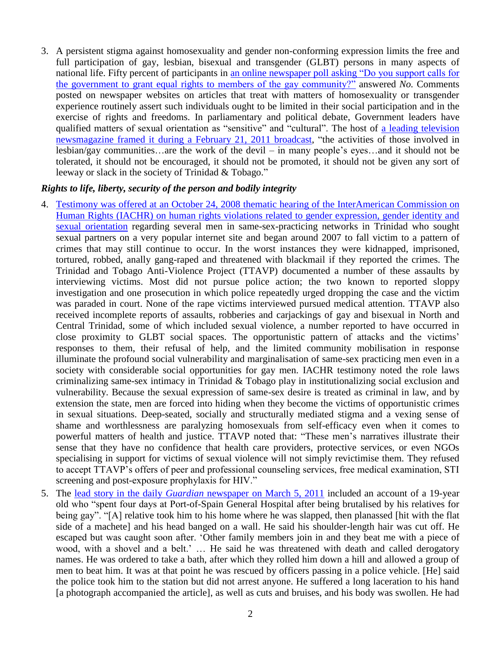3. A persistent stigma against homosexuality and gender non-conforming expression limits the free and full participation of gay, lesbian, bisexual and transgender (GLBT) persons in many aspects of national life. Fifty percent of participants in an online newspaper poll asking ["Do you support calls for](http://a5.sphotos.ak.fbcdn.net/hphotos-ak-snc6/181596_10150154932749050_127101449049_8383140_1654776_n.jpg?dl=1)  [the government to grant equal rights to](http://a5.sphotos.ak.fbcdn.net/hphotos-ak-snc6/181596_10150154932749050_127101449049_8383140_1654776_n.jpg?dl=1) members of the gay community?" answered *No.* Comments posted on newspaper websites on articles that treat with matters of homosexuality or transgender experience routinely assert such individuals ought to be limited in their social participation and in the exercise of rights and freedoms. In parliamentary and political debate, Government leaders have qualified matters of sexual orientation as "sensitive" and "cultural". The host of a leading [television](http://www.vimeo.com/20390584)  [newsmagazine framed it during a February 21, 2011 broadcast,](http://www.vimeo.com/20390584) "the activities of those involved in lesbian/gay communities…are the work of the devil – in many people"s eyes…and it should not be tolerated, it should not be encouraged, it should not be promoted, it should not be given any sort of leeway or slack in the society of Trinidad & Tobago."

#### *Rights to life, liberty, security of the person and bodily integrity*

- 4. Testimony was offered at [an October 24, 2008 thematic hearing of the InterAmerican Commission on](http://www.sasod.org.gy/files/iahcr_thematic_hearing2008.pdf)  Human Rights (IACHR) [on human rights violations related to gender expression, gender identity and](http://www.sasod.org.gy/files/iahcr_thematic_hearing2008.pdf)  [sexual orientation](http://www.sasod.org.gy/files/iahcr_thematic_hearing2008.pdf) regarding several men in same-sex-practicing networks in Trinidad who sought sexual partners on a very popular internet site and began around 2007 to fall victim to a pattern of crimes that may still continue to occur. In the worst instances they were kidnapped, imprisoned, tortured, robbed, anally gang-raped and threatened with blackmail if they reported the crimes. The Trinidad and Tobago Anti-Violence Project (TTAVP) documented a number of these assaults by interviewing victims. Most did not pursue police action; the two known to reported sloppy investigation and one prosecution in which police repeatedly urged dropping the case and the victim was paraded in court. None of the rape victims interviewed pursued medical attention. TTAVP also received incomplete reports of assaults, robberies and carjackings of gay and bisexual in North and Central Trinidad, some of which included sexual violence, a number reported to have occurred in close proximity to GLBT social spaces. The opportunistic pattern of attacks and the victims" responses to them, their refusal of help, and the limited community mobilisation in response illuminate the profound social vulnerability and marginalisation of same-sex practicing men even in a society with considerable social opportunities for gay men. IACHR testimony noted the role laws criminalizing same-sex intimacy in Trinidad & Tobago play in institutionalizing social exclusion and vulnerability. Because the sexual expression of same-sex desire is treated as criminal in law, and by extension the state, men are forced into hiding when they become the victims of opportunistic crimes in sexual situations. Deep-seated, socially and structurally mediated stigma and a vexing sense of shame and worthlessness are paralyzing homosexuals from self-efficacy even when it comes to powerful matters of health and justice. TTAVP noted that: "These men"s narratives illustrate their sense that they have no confidence that health care providers, protective services, or even NGOs specialising in support for victims of sexual violence will not simply revictimise them. They refused to accept TTAVP"s offers of peer and professional counseling services, free medical examination, STI screening and post-exposure prophylaxis for HIV."
- 5. The lead story in the daily *Guardian* [newspaper on March 5, 2011](http://guardian.co.tt/news/2011/03/05/local-gays-cry-discrimination) included an account of a 19-year old who "spent four days at Port-of-Spain General Hospital after being brutalised by his relatives for being gay". "[A] relative took him to his home where he was slapped, then planassed [hit with the flat side of a machete] and his head banged on a wall. He said his shoulder-length hair was cut off. He escaped but was caught soon after. "Other family members join in and they beat me with a piece of wood, with a shovel and a belt.' ... He said he was threatened with death and called derogatory names. He was ordered to take a bath, after which they rolled him down a hill and allowed a group of men to beat him. It was at that point he was rescued by officers passing in a police vehicle. [He] said the police took him to the station but did not arrest anyone. He suffered a long laceration to his hand [a photograph accompanied the article], as well as cuts and bruises, and his body was swollen. He had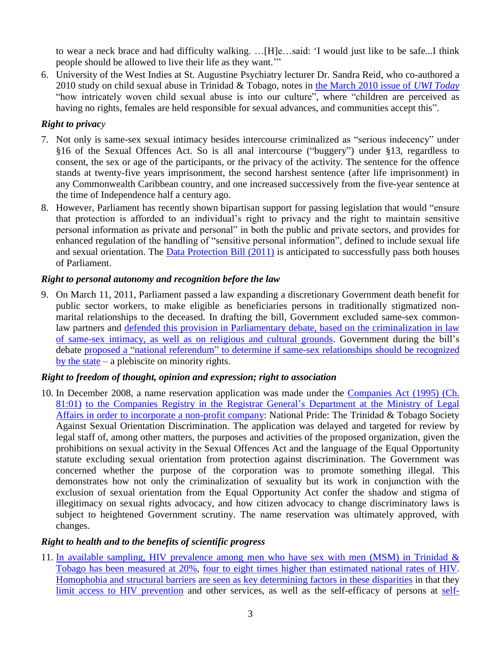to wear a neck brace and had difficulty walking. …[H]e…said: "I would just like to be safe...I think people should be allowed to live their life as they want.""

6. University of the West Indies at St. Augustine Psychiatry lecturer Dr. Sandra Reid, who co-authored a 2010 study on child sexual abuse in Trinidad & Tobago, notes in [the March 2010 issue of](http://sta.uwi.edu/uwitoday/archive/march_2010/article12.asp) *UWI Today* "how intricately woven child sexual abuse is into our culture", where "children are perceived as having no rights, females are held responsible for sexual advances, and communities accept this".

### *Right to privacy*

- 7. Not only is same-sex sexual intimacy besides intercourse criminalized as "serious indecency" under §16 of the Sexual Offences Act. So is all anal intercourse ("buggery") under §13, regardless to consent, the sex or age of the participants, or the privacy of the activity. The sentence for the offence stands at twenty-five years imprisonment, the second harshest sentence (after life imprisonment) in any Commonwealth Caribbean country, and one increased successively from the five-year sentence at the time of Independence half a century ago.
- 8. However, Parliament has recently shown bipartisan support for passing legislation that would "ensure that protection is afforded to an individual"s right to privacy and the right to maintain sensitive personal information as private and personal" in both the public and private sectors, and provides for enhanced regulation of the handling of "sensitive personal information", defined to include sexual life and sexual orientation. The [Data Protection Bill](http://www.ttparliament.org/legislations/b2011h04-1rH.pdf) (2011) is anticipated to successfully pass both houses of Parliament.

## *Right to personal autonomy and recognition before the law*

9. On March 11, 2011, Parliament passed a law expanding a discretionary Government death benefit for public sector workers, to make eligible as beneficiaries persons in traditionally stigmatized nonmarital relationships to the deceased. In drafting the bill, Government excluded same-sex commonlaw partners and defended this [provision in Parliamentary debate, based on the criminalization in law](http://www.trinidadexpress.com/news/Senators_in_biblical_clash_over_gay_unions-116369699.html)  [of same-sex intimacy, as well as on religious and cultural grounds.](http://www.trinidadexpress.com/news/Senators_in_biblical_clash_over_gay_unions-116369699.html) Government during the bill"s debate proposed a "national referendum" [to determine if same-sex relationships should be recognized](http://globewriter.wordpress.com/2011/02/22/ministerial-media-conference-on-same-sex-marriage/)  [by the state](http://globewriter.wordpress.com/2011/02/22/ministerial-media-conference-on-same-sex-marriage/) – a plebiscite on minority rights.

### *Right to freedom of thought, opinion and expression; right to association*

10. In December 2008, a name reservation application was made under the [Companies Act \(1995\) \(Ch.](http://rgd.legalaffairs.gov.tt/Laws2/Alphabetical_List/lawspdfs/81.01.pdf)  [81:01\)](http://rgd.legalaffairs.gov.tt/Laws2/Alphabetical_List/lawspdfs/81.01.pdf) to the Companies Registry in the Registrar General's Department at the Ministry of Legal [Affairs in order to incorporate a non-profit company:](http://www.legalaffairs.gov.tt/registrar/companies_registry.htm#3) National Pride: The Trinidad & Tobago Society Against Sexual Orientation Discrimination. The application was delayed and targeted for review by legal staff of, among other matters, the purposes and activities of the proposed organization, given the prohibitions on sexual activity in the Sexual Offences Act and the language of the Equal Opportunity statute excluding sexual orientation from protection against discrimination. The Government was concerned whether the purpose of the corporation was to promote something illegal. This demonstrates how not only the criminalization of sexuality but its work in conjunction with the exclusion of sexual orientation from the Equal Opportunity Act confer the shadow and stigma of illegitimacy on sexual rights advocacy, and how citizen advocacy to change discriminatory laws is subject to heightened Government scrutiny. The name reservation was ultimately approved, with changes.

### *Right to health and to the benefits of scientific progress*

11. [In available sampling, HIV prevalence among men who have sex with men](http://www.iasociety.org/Default.aspx?pageId=11&abstractId=2198563) (MSM) in Trinidad  $\&$ [Tobago has been measured at 20%,](http://www.iasociety.org/Default.aspx?pageId=11&abstractId=2198563) [four to eight times higher than estimated national rates of HIV.](http://medicine.plosjournals.org/perlserv/?request=get-document&doi=10.1371/journal.pmed.0040339) [Homophobia and structural barriers](http://www.unaids.org/en/KnowledgeCentre/Resources/FeatureStories/archive/2010/20100316_MSM_Caribbean.asp) [are seen as key determining factors](http://www.independent.co.uk/life-style/health-and-families/health-news/the-bigotry-that-keeps-aids-alive-2148036.html) in these disparities in that they [limit access to HIV prevention](http://www.newsday.co.tt/features/0,69680.html) and other services, as well as the self-efficacy of persons at [self-](http://www.oas.org/oaspage/videosasf/2008/10/CIDHviernes3_Discriminacion_genero_raza_orientacion.wmv)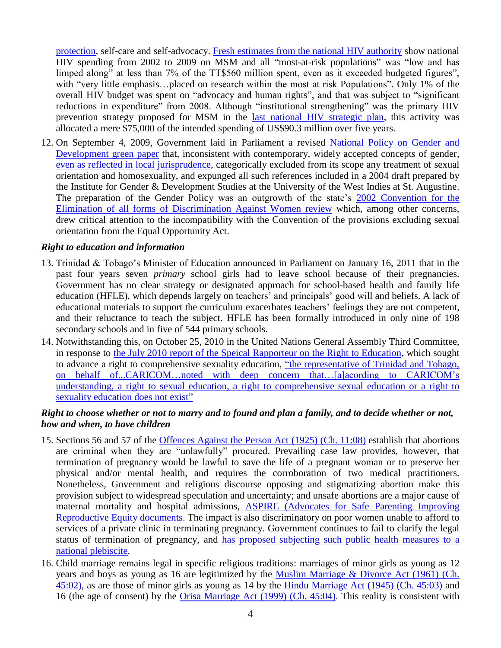[protection,](http://www.oas.org/oaspage/videosasf/2008/10/CIDHviernes3_Discriminacion_genero_raza_orientacion.wmv) self-care and self-advocacy. [Fresh estimates from the national HIV authority](http://gspottt.files.wordpress.com/2010/12/draft-nasa-2002-2009-29-no-2010.pdf) show national HIV spending from 2002 to 2009 on MSM and all "most-at-risk populations" was "low and has limped along" at less than 7% of the TT\$560 million spent, even as it exceeded budgeted figures", with "very little emphasis...placed on research within the most at risk Populations". Only 1% of the overall HIV budget was spent on "advocacy and human rights", and that was subject to "significant reductions in expenditure<sup>7</sup> from 2008. Although "institutional strengthening" was the primary HIV prevention strategy proposed for MSM in the [last national HIV strategic plan,](http://nacctt.org/upload_nsp/NSP2.doc) this activity was allocated a mere \$75,000 of the intended spending of US\$90.3 million over five years.

12. On September 4, 2009, Government laid in Parliament a revised National Policy on Gender and [Development green paper](http://www.cdcga.gov.tt/pdf/DRAFT_NATIONAL_POLICY_ON_GENDER_AND_DEVELOPMENT_OF_THE_REPUBLIC_OF_TRINIDAD_AND_TOBAGO.pdf) that, inconsistent with contemporary, widely accepted concepts of gender, [even as reflected in local jurisprudence,](http://gspottt.files.wordpress.com/2010/05/suratt-v-ag-draft-court-of-appeals.doc) categorically excluded from its scope any treatment of sexual orientation and homosexuality, and expunged all such references included in a 2004 draft prepared by the Institute for Gender & Development Studies at the University of the West Indies at St. Augustine. The preparation of the Gender Policy was an outgrowth of the state's 2002 Convention for the [Elimination of all forms of Discrimination Against Women](http://www.un.org/News/Press/docs/2002/WOM1310.doc.htm) review which, among other concerns, drew critical attention to the incompatibility with the Convention of the provisions excluding sexual orientation from the Equal Opportunity Act.

#### *Right to education and information*

- 13. Trinidad & Tobago"s Minister of Education announced in Parliament on January 16, 2011 that in the past four years seven *primary* school girls had to leave school because of their pregnancies. Government has no clear strategy or designated approach for school-based health and family life education (HFLE), which depends largely on teachers' and principals' good will and beliefs. A lack of educational materials to support the curriculum exacerbates teachers' feelings they are not competent, and their reluctance to teach the subject. HFLE has been formally introduced in only nine of 198 secondary schools and in five of 544 primary schools.
- 14. Notwithstanding this, on October 25, 2010 in the United Nations General Assembly Third Committee, in response to the July 2010 [report of the Speical Rapporteur on the Right to Education,](http://daccess-dds-ny.un.org/doc/UNDOC/GEN/N10/462/13/PDF/N1046213.pdf?OpenElement) which sought to advance a right to comprehensive sexuality education, ["the representative of Trinidad and Tobago,](http://www.un.org/News/Press/docs/2010/gashc3987.doc.htm)  [on behalf of...CARICOM…noted with deep concern that…\[a\]acording to CARICOM"s](http://www.un.org/News/Press/docs/2010/gashc3987.doc.htm)  [understanding, a right to sexual education, a right to comprehensive sexual education or a right to](http://www.un.org/News/Press/docs/2010/gashc3987.doc.htm)  [sexuality education does not exist"](http://www.un.org/News/Press/docs/2010/gashc3987.doc.htm)

#### *Right to choose whether or not to marry and to found and plan a family, and to decide whether or not, how and when, to have children*

- 15. Sections 56 and 57 of the [Offences Against the Person Act](http://rgd.legalaffairs.gov.tt/Laws2/Alphabetical_List/lawspdfs/11.08.pdf) (1925) (Ch. 11:08) establish that abortions are criminal when they are "unlawfully" procured. Prevailing case law provides, however, that termination of pregnancy would be lawful to save the life of a pregnant woman or to preserve her physical and/or mental health, and requires the corroboration of two medical practitioners. Nonetheless, Government and religious discourse opposing and stigmatizing abortion make this provision subject to widespread speculation and uncertainty; and unsafe abortions are a major cause of maternal mortality and hospital admissions, [ASPIRE \(Advocates for Safe Parenting Improving](http://www.aspire.org.tt/new/web/abortion.php) [Reproductive Equity](http://www.aspire.org.tt/new/web/abortion.php) documents. The impact is also discriminatory on poor women unable to afford to services of a private clinic in terminating pregnancy. Government continues to fail to clarify the legal status of termination of pregnancy, and [has proposed subjecting such public health](http://link.brightcove.com/services/player/bcpid75997063001?bctid=86464852001) measures to a [national plebiscite.](http://link.brightcove.com/services/player/bcpid75997063001?bctid=86464852001)
- 16. Child marriage remains legal in specific religious traditions: marriages of minor girls as young as 12 years and boys as young as 16 are legitimized by the [Muslim Marriage & Divorce Act \(1961\)](http://rgd.legalaffairs.gov.tt/Laws2/Alphabetical_List/lawspdfs/45.02.pdf) (Ch. [45:02\),](http://rgd.legalaffairs.gov.tt/Laws2/Alphabetical_List/lawspdfs/45.02.pdf) as are those of minor girls as young as 14 by the [Hindu Marriage Act \(1945\)](http://rgd.legalaffairs.gov.tt/Laws2/Alphabetical_List/lawspdfs/45.03.pdf) (Ch. 45:03) and 16 (the age of consent) by the [Orisa Marriage Act \(1999\)](http://rgd.legalaffairs.gov.tt/Laws2/Alphabetical_List/lawspdfs/45.04.pdf) (Ch. 45:04). This reality is consistent with